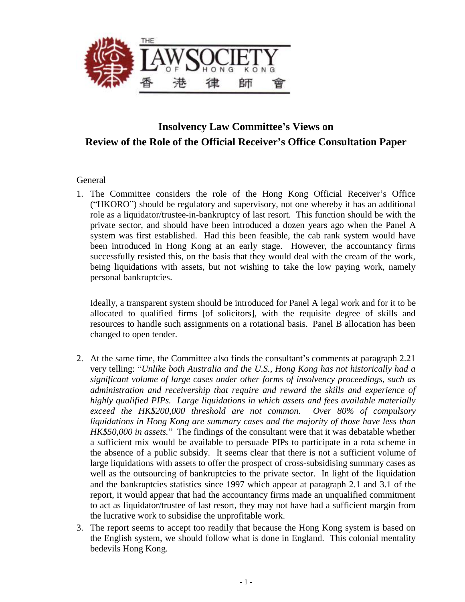

# **Insolvency Law Committee's Views on Review of the Role of the Official Receiver's Office Consultation Paper**

#### General

1. The Committee considers the role of the Hong Kong Official Receiver's Office ("HKORO") should be regulatory and supervisory, not one whereby it has an additional role as a liquidator/trustee-in-bankruptcy of last resort. This function should be with the private sector, and should have been introduced a dozen years ago when the Panel A system was first established. Had this been feasible, the cab rank system would have been introduced in Hong Kong at an early stage. However, the accountancy firms successfully resisted this, on the basis that they would deal with the cream of the work, being liquidations with assets, but not wishing to take the low paying work, namely personal bankruptcies.

Ideally, a transparent system should be introduced for Panel A legal work and for it to be allocated to qualified firms [of solicitors], with the requisite degree of skills and resources to handle such assignments on a rotational basis. Panel B allocation has been changed to open tender.

- 2. At the same time, the Committee also finds the consultant's comments at paragraph 2.21 very telling: "*Unlike both Australia and the U.S., Hong Kong has not historically had a significant volume of large cases under other forms of insolvency proceedings, such as administration and receivership that require and reward the skills and experience of highly qualified PIPs. Large liquidations in which assets and fees available materially exceed the HK\$200,000 threshold are not common. Over 80% of compulsory liquidations in Hong Kong are summary cases and the majority of those have less than HK\$50,000 in assets.*" The findings of the consultant were that it was debatable whether a sufficient mix would be available to persuade PIPs to participate in a rota scheme in the absence of a public subsidy. It seems clear that there is not a sufficient volume of large liquidations with assets to offer the prospect of cross-subsidising summary cases as well as the outsourcing of bankruptcies to the private sector. In light of the liquidation and the bankruptcies statistics since 1997 which appear at paragraph 2.1 and 3.1 of the report, it would appear that had the accountancy firms made an unqualified commitment to act as liquidator/trustee of last resort, they may not have had a sufficient margin from the lucrative work to subsidise the unprofitable work.
- 3. The report seems to accept too readily that because the Hong Kong system is based on the English system, we should follow what is done in England. This colonial mentality bedevils Hong Kong.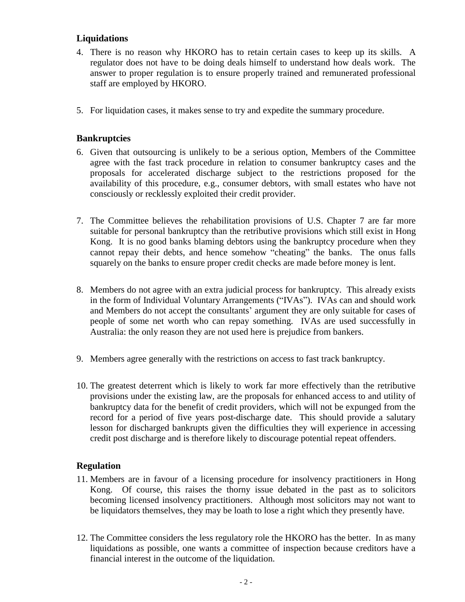## **Liquidations**

- 4. There is no reason why HKORO has to retain certain cases to keep up its skills. A regulator does not have to be doing deals himself to understand how deals work. The answer to proper regulation is to ensure properly trained and remunerated professional staff are employed by HKORO.
- 5. For liquidation cases, it makes sense to try and expedite the summary procedure.

## **Bankruptcies**

- 6. Given that outsourcing is unlikely to be a serious option, Members of the Committee agree with the fast track procedure in relation to consumer bankruptcy cases and the proposals for accelerated discharge subject to the restrictions proposed for the availability of this procedure, e.g., consumer debtors, with small estates who have not consciously or recklessly exploited their credit provider.
- 7. The Committee believes the rehabilitation provisions of U.S. Chapter 7 are far more suitable for personal bankruptcy than the retributive provisions which still exist in Hong Kong. It is no good banks blaming debtors using the bankruptcy procedure when they cannot repay their debts, and hence somehow "cheating" the banks. The onus falls squarely on the banks to ensure proper credit checks are made before money is lent.
- 8. Members do not agree with an extra judicial process for bankruptcy. This already exists in the form of Individual Voluntary Arrangements ("IVAs"). IVAs can and should work and Members do not accept the consultants' argument they are only suitable for cases of people of some net worth who can repay something. IVAs are used successfully in Australia: the only reason they are not used here is prejudice from bankers.
- 9. Members agree generally with the restrictions on access to fast track bankruptcy.
- 10. The greatest deterrent which is likely to work far more effectively than the retributive provisions under the existing law, are the proposals for enhanced access to and utility of bankruptcy data for the benefit of credit providers, which will not be expunged from the record for a period of five years post-discharge date. This should provide a salutary lesson for discharged bankrupts given the difficulties they will experience in accessing credit post discharge and is therefore likely to discourage potential repeat offenders.

## **Regulation**

- 11. Members are in favour of a licensing procedure for insolvency practitioners in Hong Kong. Of course, this raises the thorny issue debated in the past as to solicitors becoming licensed insolvency practitioners. Although most solicitors may not want to be liquidators themselves, they may be loath to lose a right which they presently have.
- 12. The Committee considers the less regulatory role the HKORO has the better. In as many liquidations as possible, one wants a committee of inspection because creditors have a financial interest in the outcome of the liquidation.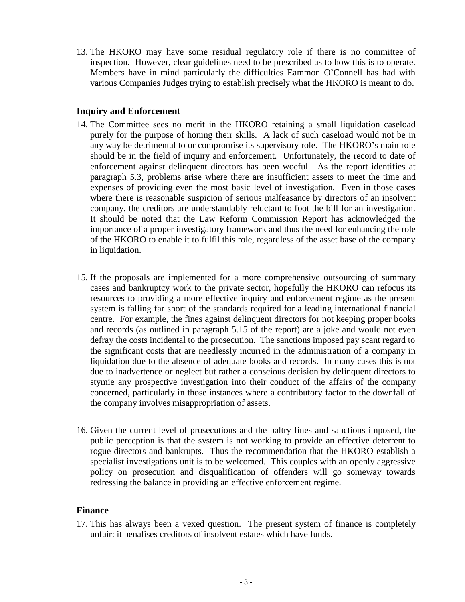13. The HKORO may have some residual regulatory role if there is no committee of inspection. However, clear guidelines need to be prescribed as to how this is to operate. Members have in mind particularly the difficulties Eammon O'Connell has had with various Companies Judges trying to establish precisely what the HKORO is meant to do.

### **Inquiry and Enforcement**

- 14. The Committee sees no merit in the HKORO retaining a small liquidation caseload purely for the purpose of honing their skills. A lack of such caseload would not be in any way be detrimental to or compromise its supervisory role. The HKORO's main role should be in the field of inquiry and enforcement. Unfortunately, the record to date of enforcement against delinquent directors has been woeful. As the report identifies at paragraph 5.3, problems arise where there are insufficient assets to meet the time and expenses of providing even the most basic level of investigation. Even in those cases where there is reasonable suspicion of serious malfeasance by directors of an insolvent company, the creditors are understandably reluctant to foot the bill for an investigation. It should be noted that the Law Reform Commission Report has acknowledged the importance of a proper investigatory framework and thus the need for enhancing the role of the HKORO to enable it to fulfil this role, regardless of the asset base of the company in liquidation.
- 15. If the proposals are implemented for a more comprehensive outsourcing of summary cases and bankruptcy work to the private sector, hopefully the HKORO can refocus its resources to providing a more effective inquiry and enforcement regime as the present system is falling far short of the standards required for a leading international financial centre. For example, the fines against delinquent directors for not keeping proper books and records (as outlined in paragraph 5.15 of the report) are a joke and would not even defray the costs incidental to the prosecution. The sanctions imposed pay scant regard to the significant costs that are needlessly incurred in the administration of a company in liquidation due to the absence of adequate books and records. In many cases this is not due to inadvertence or neglect but rather a conscious decision by delinquent directors to stymie any prospective investigation into their conduct of the affairs of the company concerned, particularly in those instances where a contributory factor to the downfall of the company involves misappropriation of assets.
- 16. Given the current level of prosecutions and the paltry fines and sanctions imposed, the public perception is that the system is not working to provide an effective deterrent to rogue directors and bankrupts. Thus the recommendation that the HKORO establish a specialist investigations unit is to be welcomed. This couples with an openly aggressive policy on prosecution and disqualification of offenders will go someway towards redressing the balance in providing an effective enforcement regime.

#### **Finance**

17. This has always been a vexed question. The present system of finance is completely unfair: it penalises creditors of insolvent estates which have funds.